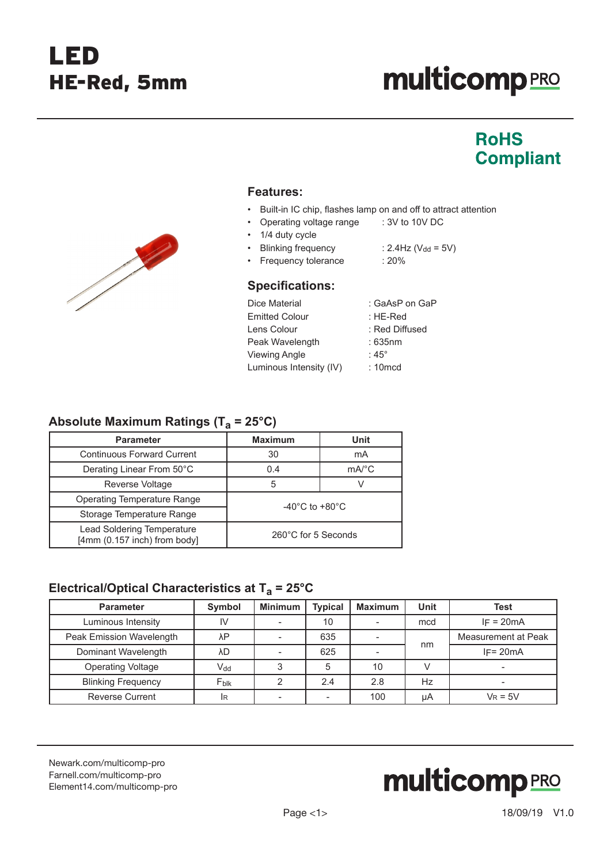# LED HE-Red, 5mm

# **multicomp**PRO

### **RoHS Compliant**



- Built-in IC chip, flashes lamp on and off to attract attention
- Operating voltage range : 3V to 10V DC
- 1/4 duty cycle
	- Blinking frequency :  $2.4$ Hz ( $V_{dd} = 5V$ )
- Frequency tolerance : 20%

#### **Specifications:**

| Dice Material           | : GaAsP on GaP    |
|-------------------------|-------------------|
| <b>Emitted Colour</b>   | $: HE-Red$        |
| Lens Colour             | : Red Diffused    |
| Peak Wavelength         | $:635$ nm         |
| Viewing Angle           | : 45 $^{\circ}$   |
| Luminous Intensity (IV) | $: 10 \text{mod}$ |
|                         |                   |



#### **Absolute Maximum Ratings (Ta = 25°C)**

| <b>Parameter</b>                                                  | <b>Maximum</b>                     | Unit                |  |
|-------------------------------------------------------------------|------------------------------------|---------------------|--|
| <b>Continuous Forward Current</b>                                 | 30                                 | mA                  |  |
| Derating Linear From 50°C                                         | 0.4                                | $mA$ <sup>°</sup> C |  |
| Reverse Voltage                                                   | 5                                  |                     |  |
| <b>Operating Temperature Range</b>                                | $-40^{\circ}$ C to $+80^{\circ}$ C |                     |  |
| Storage Temperature Range                                         |                                    |                     |  |
| <b>Lead Soldering Temperature</b><br>[4mm (0.157 inch) from body] | 260°C for 5 Seconds                |                     |  |

### **Electrical/Optical Characteristics at Ta = 25°C**

| <b>Parameter</b>          | <b>Symbol</b>    | <b>Minimum</b> | <b>Typical</b> | <b>Maximum</b> | Unit | <b>Test</b>         |
|---------------------------|------------------|----------------|----------------|----------------|------|---------------------|
| Luminous Intensity        | IV               |                | 10             |                | mcd  | $IF = 20mA$         |
| Peak Emission Wavelength  | λP               |                | 635            |                | nm   | Measurement at Peak |
| Dominant Wavelength       | λD               |                | 625            |                |      | $IF = 20mA$         |
| <b>Operating Voltage</b>  | $V_{dd}$         |                | 5              | 10             |      |                     |
| <b>Blinking Frequency</b> | F <sub>blk</sub> |                | 2.4            | 2.8            | Hz   |                     |
| <b>Reverse Current</b>    | <b>IR</b>        |                |                | 100            | μA   | $V_R = 5V$          |

[Newark.com/multicomp-](https://www.newark.com/multicomp-pro)pro [Farnell.com/multicomp](https://www.farnell.com/multicomp-pro)-pro [Element14.com/multicomp-pro](https://element14.com/multicomp-pro)

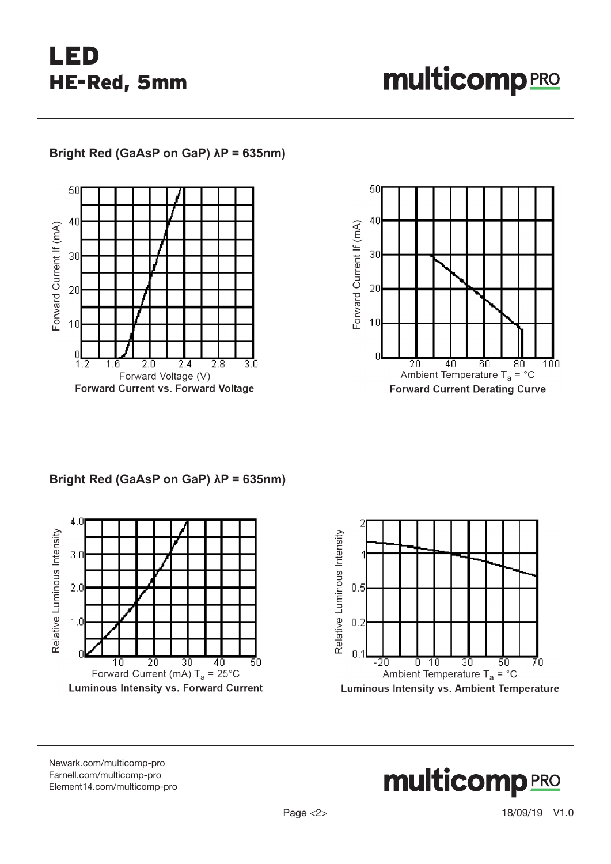## LED HE-Red, 5mm

**Bright Red (GaAsP on GaP) λP = 635nm)**





**Bright Red (GaAsP on GaP) λP = 635nm)**





[Newark.com/multicomp-](https://www.newark.com/multicomp-pro)pro [Farnell.com/multicomp](https://www.farnell.com/multicomp-pro)-pro [Element14.com/multicomp-pro](https://element14.com/multicomp-pro)